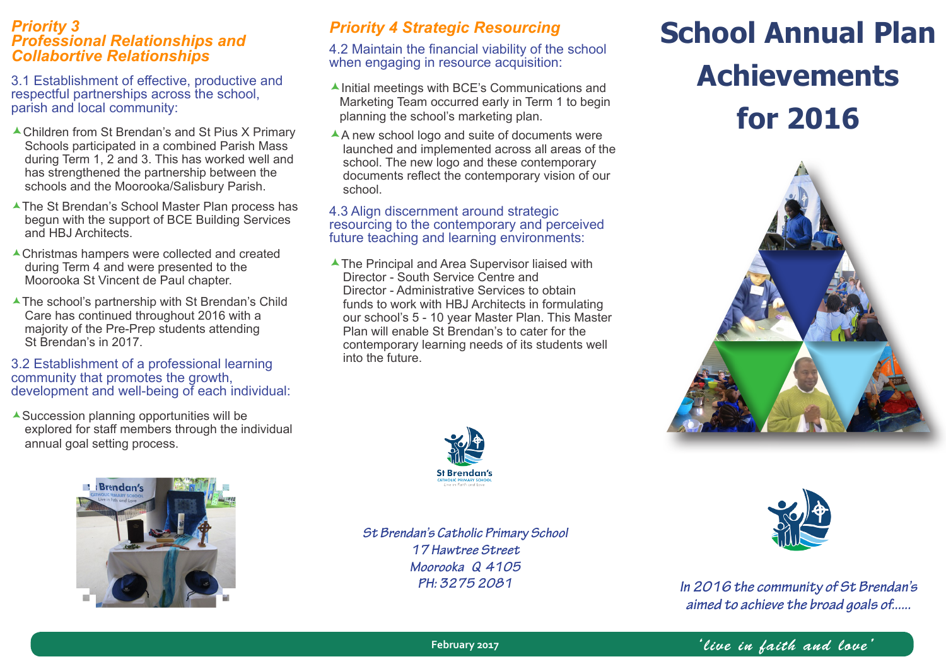## *Priority 3 Professional Relationships and Collabortive Relationships*

3.1 Establishment of effective, productive and respectful partnerships across the school, parish and local community:

- Schools participated in a combined Parish Mass during Term 1, 2 and 3. This has worked well and has strengthened the partnership between the schools and the Moorooka/Salisbury Parish.
- The St Brendan's School Master Plan process has begun with the support of BCE Building Services and HBJ Architects.
- Christmas hampers were collected and created during Term 4 and were presented to the Moorooka St Vincent de Paul chapter.
- ▲ The school's partnership with St Brendan's Child Care has continued throughout 2016 with a majority of the Pre-Prep students attending St Brendan's in 2017.

#### 3.2 Establishment of a professional learning community that promotes the growth, development and well-being of each individual:

Succession planning opportunities will be explored for staff members through the individual annual goal setting process.

# *Priority 4 Strategic Resourcing*

4.2 Maintain the financial viability of the school when engaging in resource acquisition:

- $\blacktriangle$  Initial meetings with BCE's Communications and Marketing Team occurred early in Term 1 to begin planning the school's marketing plan.
- A new school logo and suite of documents were launched and implemented across all areas of the school. The new logo and these contemporary documents reflect the contemporary vision of our school.

#### 4.3 Align discernment around strategic resourcing to the contemporary and perceived future teaching and learning environments:

▲ The Principal and Area Supervisor liaised with Director - South Service Centre and Director - Administrative Services to obtain funds to work with HBJ Architects in formulating our school's 5 - 10 year Master Plan. This Master Plan will enable St Brendan's to cater for the contemporary learning needs of its students well into the future.





*St Brendan's Catholic Primary School 17 Hawtree Street Moorooka Q 4105 PH: 3275 2081*

# **School Annual Plan Achievements**  parish and local community:<br> **A** Children from St Brendan's and St Pius X Primary **A** A new school loce and suite of documents were





*In 2016 the community of St Brendan's aimed to achieve the broad goals of......*